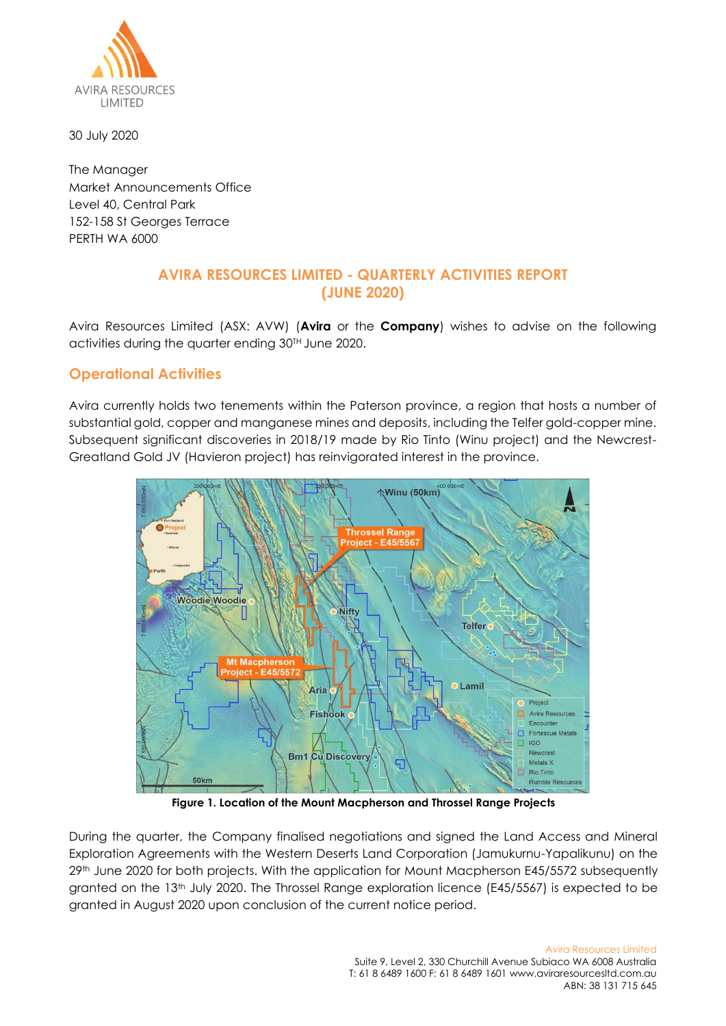

30 July 2020

The Manager Market Announcements Office Level 40, Central Park 152-158 St Georges Terrace PERTH WA 6000

# **AVIRA RESOURCES LIMITED - QUARTERLY ACTIVITIES REPORT (JUNE 2020)**

Avira Resources Limited (ASX: AVW) (**Avira** or the **Company**) wishes to advise on the following activities during the quarter ending 30TH June 2020.

## **Operational Activities**

Avira currently holds two tenements within the Paterson province, a region that hosts a number of substantial gold, copper and manganese mines and deposits, including the Telfer gold-copper mine. Subsequent significant discoveries in 2018/19 made by Rio Tinto (Winu project) and the Newcrest-Greatland Gold JV (Havieron project) has reinvigorated interest in the province.



**Figure 1. Location of the Mount Macpherson and Throssel Range Projects**

During the quarter, the Company finalised negotiations and signed the Land Access and Mineral Exploration Agreements with the Western Deserts Land Corporation (Jamukurnu-Yapalikunu) on the 29th June 2020 for both projects. With the application for Mount Macpherson E45/5572 subsequently granted on the 13th July 2020. The Throssel Range exploration licence (E45/5567) is expected to be granted in August 2020 upon conclusion of the current notice period.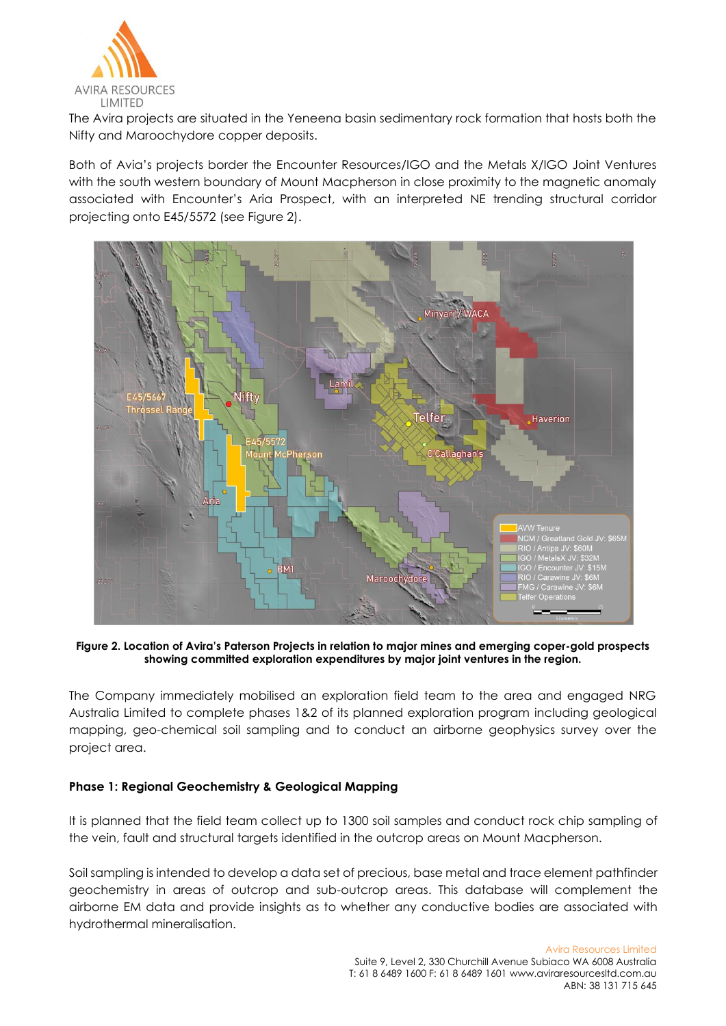

The Avira projects are situated in the Yeneena basin sedimentary rock formation that hosts both the Nifty and Maroochydore copper deposits.

Both of Avia's projects border the Encounter Resources/IGO and the Metals X/IGO Joint Ventures with the south western boundary of Mount Macpherson in close proximity to the magnetic anomaly associated with Encounter's Aria Prospect, with an interpreted NE trending structural corridor projecting onto E45/5572 (see Figure 2).



**Figure 2. Location of Avira's Paterson Projects in relation to major mines and emerging coper-gold prospects showing committed exploration expenditures by major joint ventures in the region.**

The Company immediately mobilised an exploration field team to the area and engaged NRG Australia Limited to complete phases 1&2 of its planned exploration program including geological mapping, geo-chemical soil sampling and to conduct an airborne geophysics survey over the project area.

## **Phase 1: Regional Geochemistry & Geological Mapping**

It is planned that the field team collect up to 1300 soil samples and conduct rock chip sampling of the vein, fault and structural targets identified in the outcrop areas on Mount Macpherson.

Soil sampling is intended to develop a data set of precious, base metal and trace element pathfinder geochemistry in areas of outcrop and sub-outcrop areas. This database will complement the airborne EM data and provide insights as to whether any conductive bodies are associated with hydrothermal mineralisation.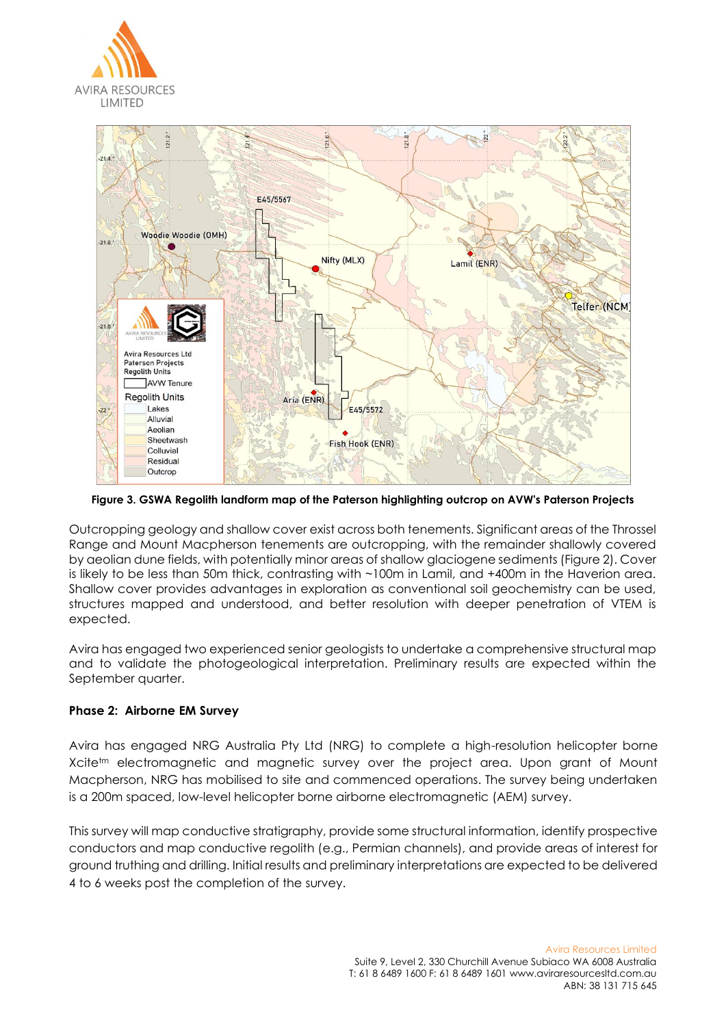



**Figure 3. GSWA Regolith landform map of the Paterson highlighting outcrop on AVW's Paterson Projects**

Outcropping geology and shallow cover exist across both tenements. Significant areas of the Throssel Range and Mount Macpherson tenements are outcropping, with the remainder shallowly covered by aeolian dune fields, with potentially minor areas of shallow glaciogene sediments (Figure 2). Cover is likely to be less than 50m thick, contrasting with ~100m in Lamil, and +400m in the Haverion area. Shallow cover provides advantages in exploration as conventional soil geochemistry can be used, structures mapped and understood, and better resolution with deeper penetration of VTEM is expected.

Avira has engaged two experienced senior geologists to undertake a comprehensive structural map and to validate the photogeological interpretation. Preliminary results are expected within the September quarter.

### **Phase 2: Airborne EM Survey**

Avira has engaged NRG Australia Pty Ltd (NRG) to complete a high-resolution helicopter borne Xcite<sup>tm</sup> electromagnetic and magnetic survey over the project area. Upon grant of Mount Macpherson, NRG has mobilised to site and commenced operations. The survey being undertaken is a 200m spaced, low-level helicopter borne airborne electromagnetic (AEM) survey.

This survey will map conductive stratigraphy, provide some structural information, identify prospective conductors and map conductive regolith (e.g., Permian channels), and provide areas of interest for ground truthing and drilling. Initial results and preliminary interpretations are expected to be delivered 4 to 6 weeks post the completion of the survey.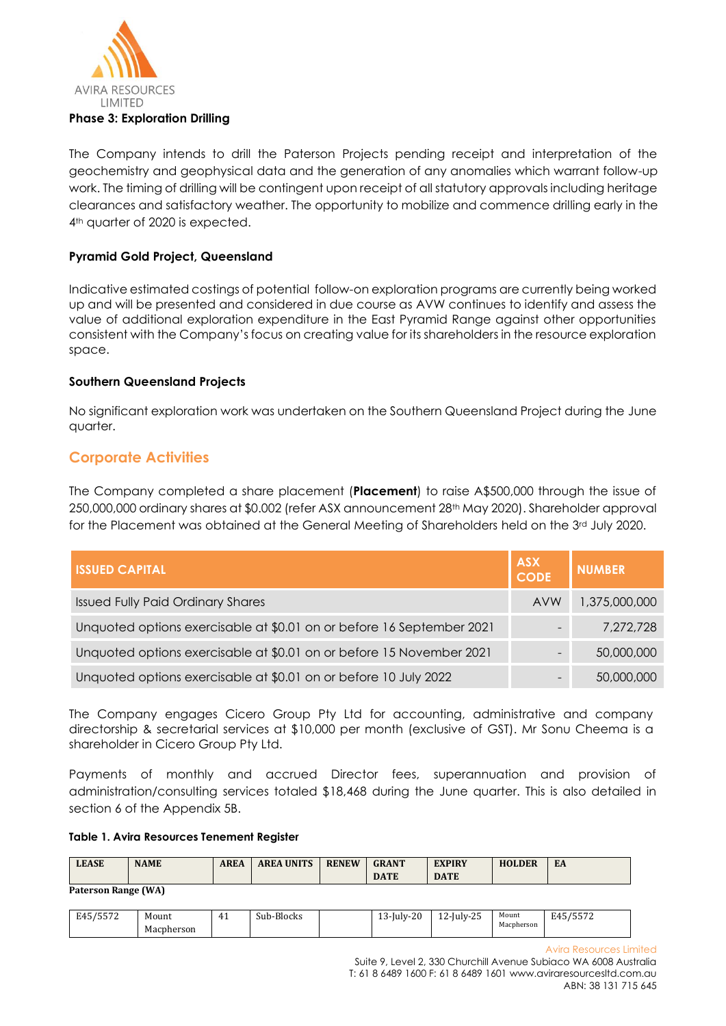

The Company intends to drill the Paterson Projects pending receipt and interpretation of the geochemistry and geophysical data and the generation of any anomalies which warrant follow-up work. The timing of drilling will be contingent upon receipt of all statutory approvals including heritage clearances and satisfactory weather. The opportunity to mobilize and commence drilling early in the 4<sup>th</sup> quarter of 2020 is expected.

## **Pyramid Gold Project, Queensland**

Indicative estimated costings of potential follow-on exploration programs are currently being worked up and will be presented and considered in due course as AVW continues to identify and assess the value of additional exploration expenditure in the East Pyramid Range against other opportunities consistent with the Company's focus on creating value for its shareholders in the resource exploration space.

## **Southern Queensland Projects**

No significant exploration work was undertaken on the Southern Queensland Project during the June quarter.

## **Corporate Activities**

The Company completed a share placement (**Placement**) to raise A\$500,000 through the issue of 250,000,000 ordinary shares at \$0.002 (refer ASX announcement 28th May 2020). Shareholder approval for the Placement was obtained at the General Meeting of Shareholders held on the 3rd July 2020.

| <b>ISSUED CAPITAL</b>                                                 | <b>ASX</b><br><b>CODE</b> | <b>NUMBER</b> |
|-----------------------------------------------------------------------|---------------------------|---------------|
| <b>Issued Fully Paid Ordinary Shares</b>                              | <b>AVW</b>                | 1,375,000,000 |
| Unquoted options exercisable at \$0.01 on or before 16 September 2021 |                           | 7,272,728     |
| Unquoted options exercisable at \$0.01 on or before 15 November 2021  |                           | 50,000,000    |
| Unquoted options exercisable at \$0.01 on or before 10 July 2022      |                           | 50,000,000    |

The Company engages Cicero Group Pty Ltd for accounting, administrative and company directorship & secretarial services at \$10,000 per month (exclusive of GST). Mr Sonu Cheema is a shareholder in Cicero Group Pty Ltd.

Payments of monthly and accrued Director fees, superannuation and provision of administration/consulting services totaled \$18,468 during the June quarter. This is also detailed in section 6 of the Appendix 5B.

#### **Table 1. Avira Resources Tenement Register**

| <b>LEASE</b>            | <b>NAME</b> | <b>AREA</b> | <b>AREA UNITS</b> | <b>RENEW</b> | <b>GRANT</b> | <b>EXPIRY</b> | <b>HOLDER</b> | EA |
|-------------------------|-------------|-------------|-------------------|--------------|--------------|---------------|---------------|----|
|                         |             |             |                   |              | <b>DATE</b>  | <b>DATE</b>   |               |    |
| $P_1$ $P_2$ $P_3$ $P_4$ |             |             |                   |              |              |               |               |    |

**Paterson Range (WA)**

| $1 - - - -$<br>$- - -$<br>ے روز | Mount      | 44<br>. . | $\mathbf{r}$<br>-Blocks<br>Sub- | $\Omega$<br>$11117 - 7$<br>۰∠∪<br><b>、</b><br>lui.<br><b>I</b> . | $\sim$ $\sim$<br>$\sqrt{2}$<br>$\sim$ -July-4. | Mount           | $1 - - - -$<br>$\Gamma$ $\Lambda$ $\Gamma$<br>E45<br>, JJ / 4 |
|---------------------------------|------------|-----------|---------------------------------|------------------------------------------------------------------|------------------------------------------------|-----------------|---------------------------------------------------------------|
|                                 | Macpherson |           |                                 |                                                                  |                                                | Macpherson<br>. |                                                               |

Avira Resources Limited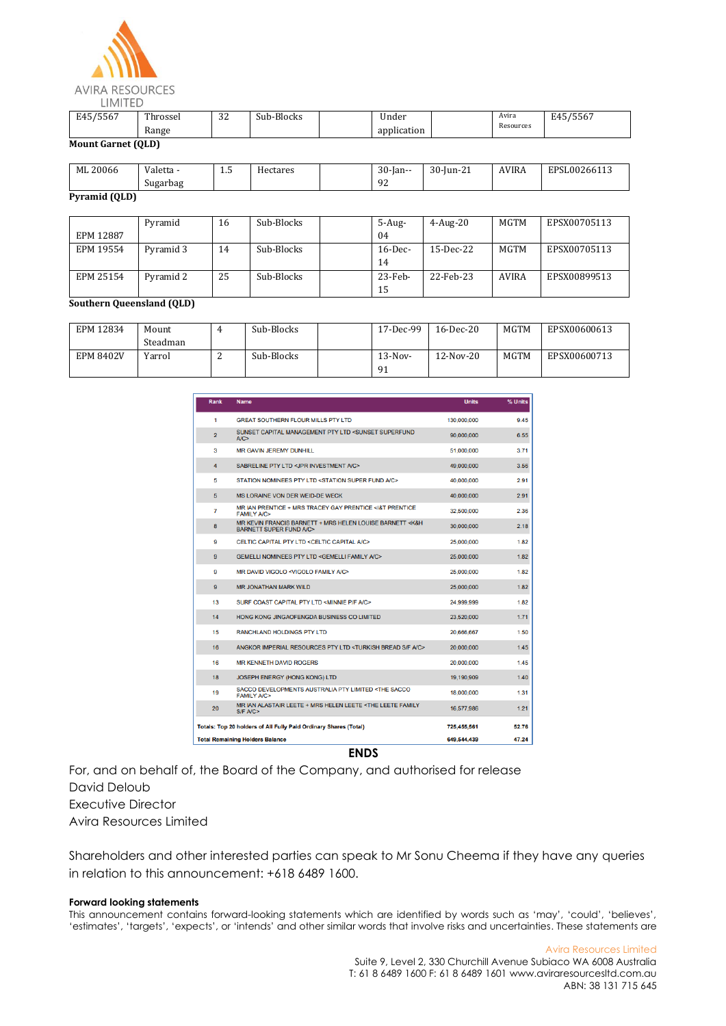

| $I = F$<br>. חהה               | Throssei            | $\Omega$<br>ے ت | $\sim$<br>Sub-Blocks | <br>Under   | Avira     | $1 - - - -$<br>н д.<br>י סכפ |
|--------------------------------|---------------------|-----------------|----------------------|-------------|-----------|------------------------------|
|                                | <b>Range</b><br>___ |                 |                      | application | Resources |                              |
| $\mathbf{u}$ $\alpha$ $\alpha$ |                     |                 |                      |             |           |                              |

**Mount Garnet (QLD)**

| ML 20066      | Valetta - | ل. 1 | Hectares | $30$ -Jan-- | 30-Jun-21 | <b>AVIRA</b> | EPSL00266113 |
|---------------|-----------|------|----------|-------------|-----------|--------------|--------------|
|               | Sugarbag  |      |          | 92          |           |              |              |
| Pyramid (QLD) |           |      |          |             |           |              |              |

|           | Pyramid   | 16 | Sub-Blocks | $5 - Aug-$ | $4-Aug-20$   | MGTM  | EPSX00705113 |
|-----------|-----------|----|------------|------------|--------------|-------|--------------|
| EPM 12887 |           |    |            | 04         |              |       |              |
| EPM 19554 | Pyramid 3 | 14 | Sub-Blocks | $16$ -Dec- | $15$ -Dec-22 | MGTM  | EPSX00705113 |
|           |           |    |            | 14         |              |       |              |
| EPM 25154 | Pyramid 2 | 25 | Sub-Blocks | $23$ -Feb- | 22-Feb-23    | AVIRA | EPSX00899513 |
|           |           |    |            | 15         |              |       |              |

#### **Southern Queensland (QLD)**

| EPM 12834        | Mount    |   | Sub-Blocks | 17-Dec-99 | $16$ -Dec-20 | MGTM | EPSX00600613 |
|------------------|----------|---|------------|-----------|--------------|------|--------------|
|                  | Steadman |   |            |           |              |      |              |
| <b>EPM 8402V</b> | Yarrol   | - | Sub-Blocks | $13-Nov-$ | $12-Nov-20$  | MGTM | EPSX00600713 |
|                  |          |   |            | 91        |              |      |              |

| Rank           | <b>Name</b>                                                                                            | <b>Units</b> | % Units |
|----------------|--------------------------------------------------------------------------------------------------------|--------------|---------|
| 1              | <b>GREAT SOUTHERN FLOUR MILLS PTY LTD</b>                                                              | 130.000.000  | 9.45    |
| $\overline{2}$ | SUNSET CAPITAL MANAGEMENT PTY LTD <sunset superfund<br="">A/C</sunset>                                 | 90,000,000   | 6.55    |
| 3              | <b>MR GAVIN JEREMY DUNHILL</b>                                                                         | 51,000,000   | 3.71    |
| $\overline{4}$ | SABRELINE PTY LTD <jpr a="" c="" investment=""></jpr>                                                  | 49,000,000   | 3.56    |
| 5              | STATION NOMINEES PTY LTD <station a="" c="" fund="" super=""></station>                                | 40.000.000   | 2.91    |
| 5              | MS LORAINE VON DER WEID-DE WECK                                                                        | 40,000,000   | 2.91    |
| 7              | MR IAN PRENTICE + MRS TRACEY GAY PRENTICE <1&T PRENTICE<br><b>FAMILY A/C&gt;</b>                       | 32.500.000   | 2.36    |
| 8              | MR KEVIN FRANCIS BARNETT + MRS HELEN LOUISE BARNETT <k&h<br><b>BARNETT SUPER FUND A/C&gt;</b></k&h<br> | 30,000,000   | 2.18    |
| 9              | CELTIC CAPITAL PTY LTD <celtic a="" c="" capital=""></celtic>                                          | 25,000,000   | 1.82    |
| $\mathbf{Q}$   | <b>GEMELLI NOMINEES PTY LTD <gemelli a="" c="" family=""></gemelli></b>                                | 25.000.000   | 1.82    |
| 9              | MR DAVID VIGOLO <vigolo a="" c="" family=""></vigolo>                                                  | 25,000,000   | 1.82    |
| 9              | <b>MR JONATHAN MARK WILD</b>                                                                           | 25,000,000   | 1.82    |
| 13             | SURF COAST CAPITAL PTY LTD <minnie a="" c="" f="" p=""></minnie>                                       | 24.999.999   | 1.82    |
| 14             | HONG KONG JINGAOFENGDA BUSINESS CO LIMITED                                                             | 23,520,000   | 1.71    |
| 15             | <b>RANCHLAND HOLDINGS PTY LTD</b>                                                                      | 20,666,667   | 1.50    |
| 16             | ANGKOR IMPERIAL RESOURCES PTY LTD <turkish a="" bread="" c="" f="" s=""></turkish>                     | 20.000.000   | 1.45    |
| 16             | <b>MR KENNETH DAVID ROGERS</b>                                                                         | 20.000.000   | 1.45    |
| 18             | <b>JOSEPH ENERGY (HONG KONG) LTD</b>                                                                   | 19,190,909   | 1.40    |
| 19             | SACCO DEVELOPMENTS AUSTRALIA PTY LIMITED <the sacco<br=""><b>FAMILY A/C&gt;</b></the>                  | 18,000,000   | 1.31    |
| 20             | MR IAN ALASTAIR LEETE + MRS HELEN LEETE <the family<br="" leete="">S/F A/C&gt;</the>                   | 16,577,986   | 1.21    |
|                | Totals: Top 20 holders of All Fully Paid Ordinary Shares (Total)                                       | 725,455,561  | 52.76   |
|                | <b>Total Remaining Holders Balance</b>                                                                 | 649.544.439  | 47.24   |

**ENDS**

For, and on behalf of, the Board of the Company, and authorised for release David Deloub Executive Director Avira Resources Limited

Shareholders and other interested parties can speak to Mr Sonu Cheema if they have any queries in relation to this announcement: +618 6489 1600.

#### **Forward looking statements**

This announcement contains forward-looking statements which are identified by words such as 'may', 'could', 'believes', 'estimates', 'targets', 'expects', or 'intends' and other similar words that involve risks and uncertainties. These statements are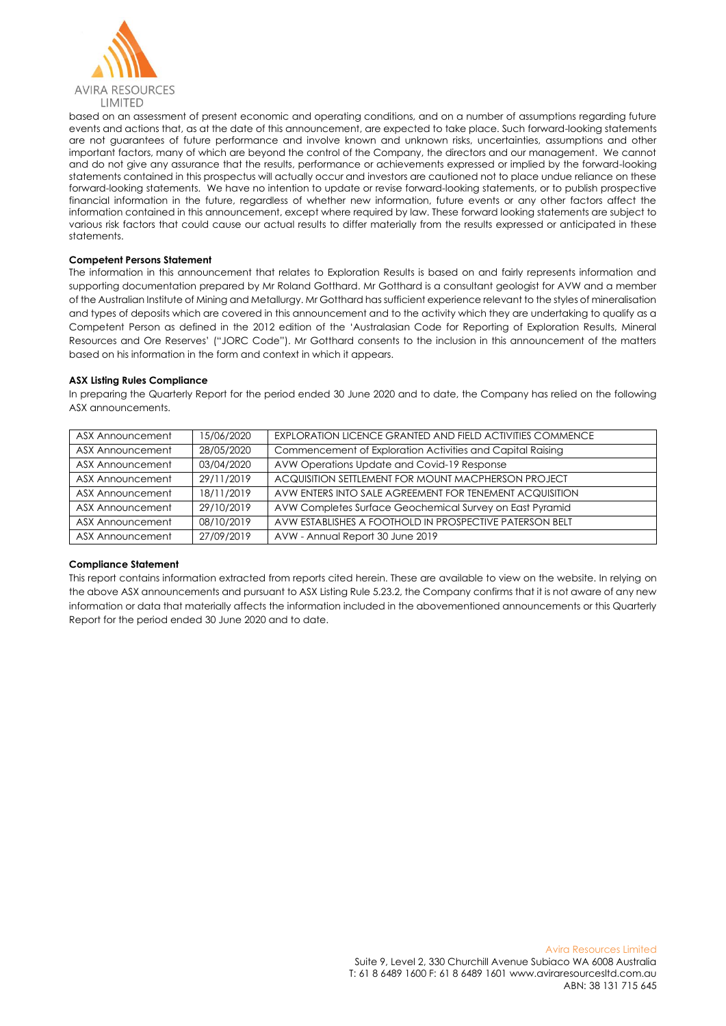

based on an assessment of present economic and operating conditions, and on a number of assumptions regarding future events and actions that, as at the date of this announcement, are expected to take place. Such forward-looking statements are not guarantees of future performance and involve known and unknown risks, uncertainties, assumptions and other important factors, many of which are beyond the control of the Company, the directors and our management. We cannot and do not give any assurance that the results, performance or achievements expressed or implied by the forward-looking statements contained in this prospectus will actually occur and investors are cautioned not to place undue reliance on these forward-looking statements. We have no intention to update or revise forward-looking statements, or to publish prospective financial information in the future, regardless of whether new information, future events or any other factors affect the information contained in this announcement, except where required by law. These forward looking statements are subject to various risk factors that could cause our actual results to differ materially from the results expressed or anticipated in these statements.

#### **Competent Persons Statement**

The information in this announcement that relates to Exploration Results is based on and fairly represents information and supporting documentation prepared by Mr Roland Gotthard. Mr Gotthard is a consultant geologist for AVW and a member of the Australian Institute of Mining and Metallurgy. Mr Gotthard has sufficient experience relevant to the styles of mineralisation and types of deposits which are covered in this announcement and to the activity which they are undertaking to qualify as a Competent Person as defined in the 2012 edition of the 'Australasian Code for Reporting of Exploration Results, Mineral Resources and Ore Reserves' ("JORC Code"). Mr Gotthard consents to the inclusion in this announcement of the matters based on his information in the form and context in which it appears.

#### **ASX Listing Rules Compliance**

In preparing the Quarterly Report for the period ended 30 June 2020 and to date, the Company has relied on the following ASX announcements.

| ASX Announcement        | 15/06/2020 | <b>EXPLORATION LICENCE GRANTED AND FIELD ACTIVITIES COMMENCE</b> |
|-------------------------|------------|------------------------------------------------------------------|
| ASX Announcement        | 28/05/2020 | Commencement of Exploration Activities and Capital Raising       |
| ASX Announcement        | 03/04/2020 | AVW Operations Update and Covid-19 Response                      |
| <b>ASX Announcement</b> | 29/11/2019 | ACQUISITION SETTLEMENT FOR MOUNT MACPHERSON PROJECT              |
| ASX Announcement        | 18/11/2019 | AVW ENTERS INTO SALE AGREEMENT FOR TENEMENT ACQUISITION          |
| ASX Announcement        | 29/10/2019 | AVW Completes Surface Geochemical Survey on East Pyramid         |
| ASX Announcement        | 08/10/2019 | AVW ESTABLISHES A FOOTHOLD IN PROSPECTIVE PATERSON BELT          |
| ASX Announcement        | 27/09/2019 | AVW - Annual Report 30 June 2019                                 |

#### **Compliance Statement**

This report contains information extracted from reports cited herein. These are available to view on the website. In relying on the above ASX announcements and pursuant to ASX Listing Rule 5.23.2, the Company confirms that it is not aware of any new information or data that materially affects the information included in the abovementioned announcements or this Quarterly Report for the period ended 30 June 2020 and to date.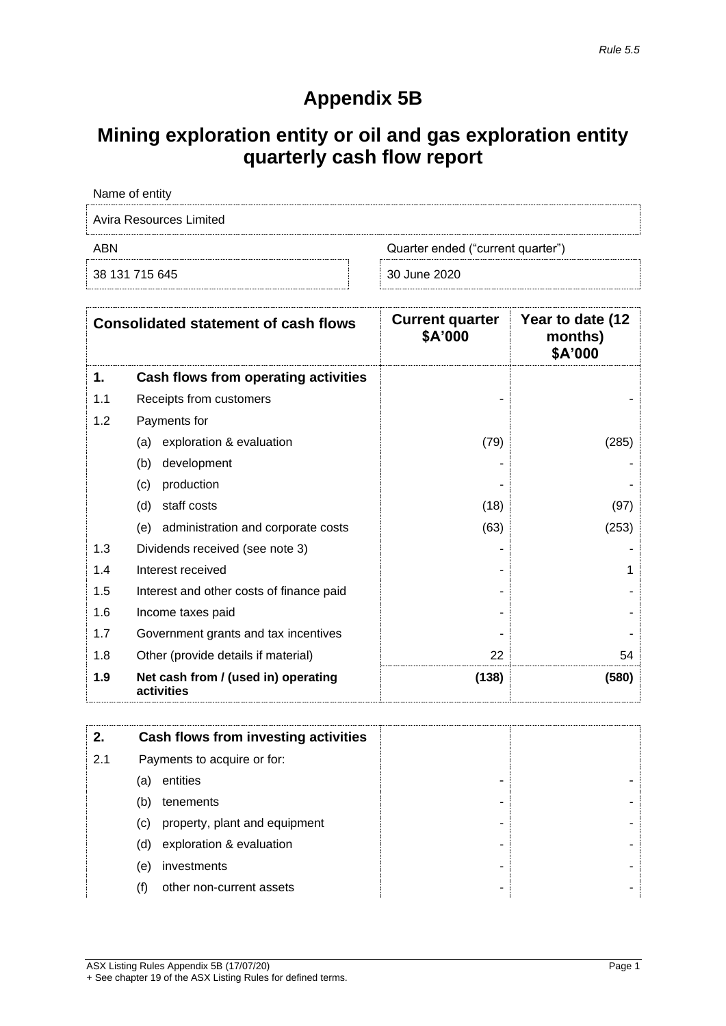# **Appendix 5B**

# **Mining exploration entity or oil and gas exploration entity quarterly cash flow report**

| Name of entity          |                                   |  |  |  |  |  |
|-------------------------|-----------------------------------|--|--|--|--|--|
| Avira Resources Limited |                                   |  |  |  |  |  |
| ABN                     | Quarter ended ("current quarter") |  |  |  |  |  |
| 38 131 715 645          | 30 June 2020                      |  |  |  |  |  |

|     | <b>Consolidated statement of cash flows</b>       | <b>Current quarter</b><br>\$A'000 | Year to date (12<br>months)<br>\$A'000 |
|-----|---------------------------------------------------|-----------------------------------|----------------------------------------|
| 1.  | Cash flows from operating activities              |                                   |                                        |
| 1.1 | Receipts from customers                           |                                   |                                        |
| 1.2 | Payments for                                      |                                   |                                        |
|     | exploration & evaluation<br>(a)                   | (79)                              | (285)                                  |
|     | (b)<br>development                                |                                   |                                        |
|     | production<br>(c)                                 |                                   |                                        |
|     | staff costs<br>(d)                                | (18)                              | (97)                                   |
|     | administration and corporate costs<br>(e)         | (63)                              | (253)                                  |
| 1.3 | Dividends received (see note 3)                   |                                   |                                        |
| 1.4 | Interest received                                 |                                   | 1                                      |
| 1.5 | Interest and other costs of finance paid          |                                   |                                        |
| 1.6 | Income taxes paid                                 |                                   |                                        |
| 1.7 | Government grants and tax incentives              |                                   |                                        |
| 1.8 | Other (provide details if material)               | 22                                | 54                                     |
| 1.9 | Net cash from / (used in) operating<br>activities | (138)                             | (580)                                  |

| 2.  |     | Cash flows from investing activities |   |  |
|-----|-----|--------------------------------------|---|--|
| 2.1 |     | Payments to acquire or for:          |   |  |
|     | (a) | entities                             | - |  |
|     | (b) | tenements                            | ۰ |  |
|     | (c) | property, plant and equipment        | ۰ |  |
|     | (d) | exploration & evaluation             | ۰ |  |
|     | (e) | investments                          | - |  |
|     | (f) | other non-current assets             | ۰ |  |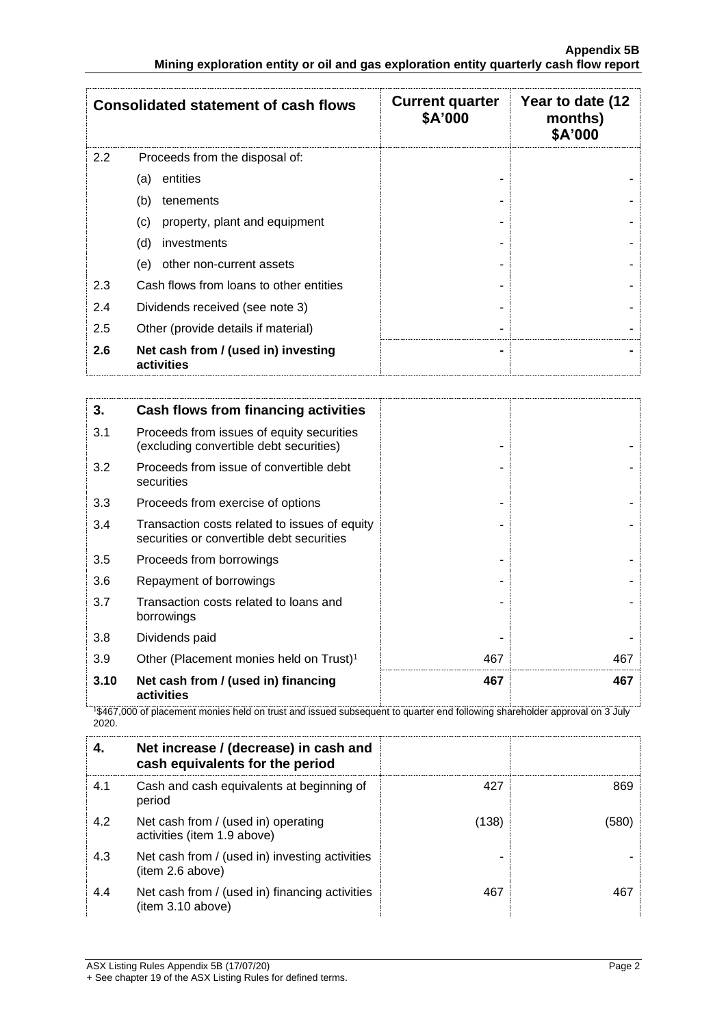|     | <b>Consolidated statement of cash flows</b>       | <b>Current quarter</b><br>\$A'000 | Year to date (12<br>months)<br>\$A'000 |
|-----|---------------------------------------------------|-----------------------------------|----------------------------------------|
| 2.2 | Proceeds from the disposal of:                    |                                   |                                        |
|     | entities<br>(a)                                   |                                   |                                        |
|     | (b)<br>tenements                                  |                                   |                                        |
|     | property, plant and equipment<br>(c)              |                                   |                                        |
|     | (d)<br>investments                                |                                   |                                        |
|     | other non-current assets<br>(e)                   |                                   |                                        |
| 2.3 | Cash flows from loans to other entities           |                                   |                                        |
| 2.4 | Dividends received (see note 3)                   | ۰                                 |                                        |
| 2.5 | Other (provide details if material)               |                                   |                                        |
| 2.6 | Net cash from / (used in) investing<br>activities | $\blacksquare$                    |                                        |

| 3.   | <b>Cash flows from financing activities</b>                                                |     |     |
|------|--------------------------------------------------------------------------------------------|-----|-----|
| 3.1  | Proceeds from issues of equity securities<br>(excluding convertible debt securities)       |     |     |
| 3.2  | Proceeds from issue of convertible debt<br>securities                                      |     |     |
| 3.3  | Proceeds from exercise of options                                                          |     |     |
| 3.4  | Transaction costs related to issues of equity<br>securities or convertible debt securities |     |     |
| 3.5  | Proceeds from borrowings                                                                   |     |     |
| 3.6  | Repayment of borrowings                                                                    |     |     |
| 3.7  | Transaction costs related to loans and<br>borrowings                                       |     |     |
| 3.8  | Dividends paid                                                                             |     |     |
| 3.9  | Other (Placement monies held on Trust) <sup>1</sup>                                        | 467 | 467 |
| 3.10 | Net cash from / (used in) financing<br>activities                                          | 467 | 467 |

<sup>1</sup>\$467,000 of placement monies held on trust and issued subsequent to quarter end following shareholder approval on 3 July 2020.

|     | Net increase / (decrease) in cash and<br>cash equivalents for the period |       |      |
|-----|--------------------------------------------------------------------------|-------|------|
| 4.1 | Cash and cash equivalents at beginning of<br>period                      | 427   | 869  |
| 4.2 | Net cash from / (used in) operating<br>activities (item 1.9 above)       | (138) | 1580 |
| 4.3 | Net cash from / (used in) investing activities<br>(item 2.6 above)       |       |      |
| 4.4 | Net cash from / (used in) financing activities<br>(item 3.10 above)      | 467   |      |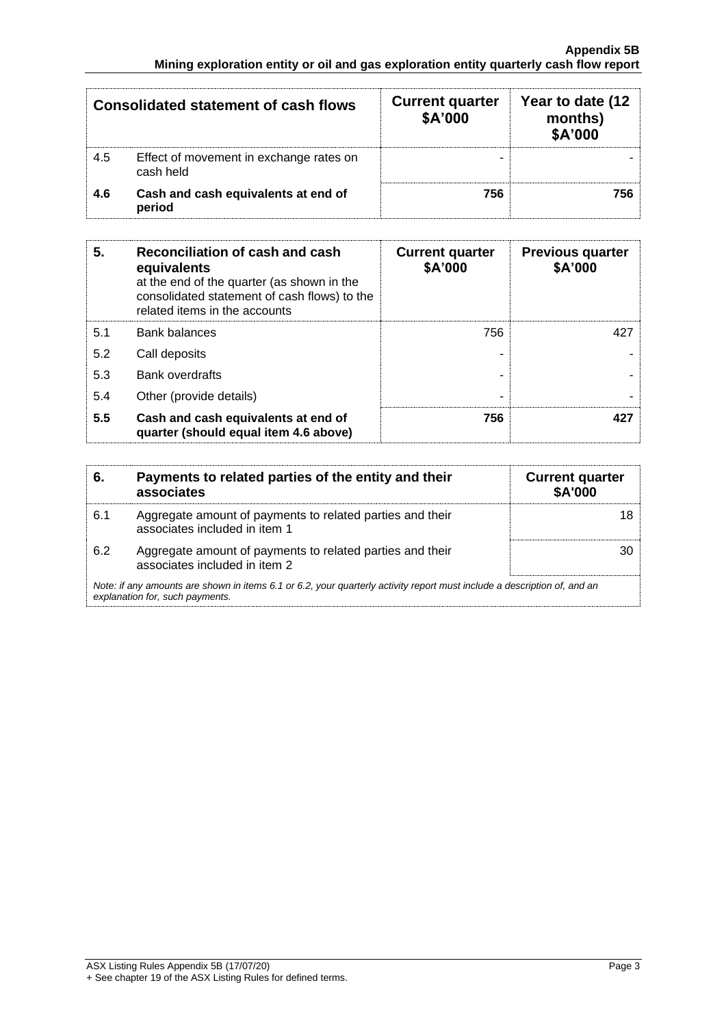|     | Consolidated statement of cash flows                 | <b>Current quarter</b><br>\$A'000 | Year to date (12<br>months)<br>\$A'000 |
|-----|------------------------------------------------------|-----------------------------------|----------------------------------------|
| 4.5 | Effect of movement in exchange rates on<br>cash held |                                   |                                        |
| 4.6 | Cash and cash equivalents at end of<br>period        | 756                               | 756                                    |

| 5.  | Reconciliation of cash and cash<br>equivalents<br>at the end of the quarter (as shown in the<br>consolidated statement of cash flows) to the<br>related items in the accounts | <b>Current quarter</b><br>\$A'000 | <b>Previous quarter</b><br>\$A'000 |
|-----|-------------------------------------------------------------------------------------------------------------------------------------------------------------------------------|-----------------------------------|------------------------------------|
| 5.1 | <b>Bank balances</b>                                                                                                                                                          | 756                               | 427                                |
| 5.2 | Call deposits                                                                                                                                                                 |                                   |                                    |
| 5.3 | <b>Bank overdrafts</b>                                                                                                                                                        |                                   |                                    |
| 5.4 | Other (provide details)                                                                                                                                                       | -                                 |                                    |
| 5.5 | Cash and cash equivalents at end of<br>quarter (should equal item 4.6 above)                                                                                                  | 756                               | 427                                |

| 6.  | Payments to related parties of the entity and their<br>associates                                                                                           | <b>Current quarter</b><br>\$A'000 |
|-----|-------------------------------------------------------------------------------------------------------------------------------------------------------------|-----------------------------------|
| 6.1 | Aggregate amount of payments to related parties and their<br>associates included in item 1                                                                  |                                   |
| 6.2 | Aggregate amount of payments to related parties and their<br>associates included in item 2                                                                  |                                   |
|     | Note: if any amounts are shown in items 6.1 or 6.2, your quarterly activity report must include a description of, and an<br>explanation for, such payments. |                                   |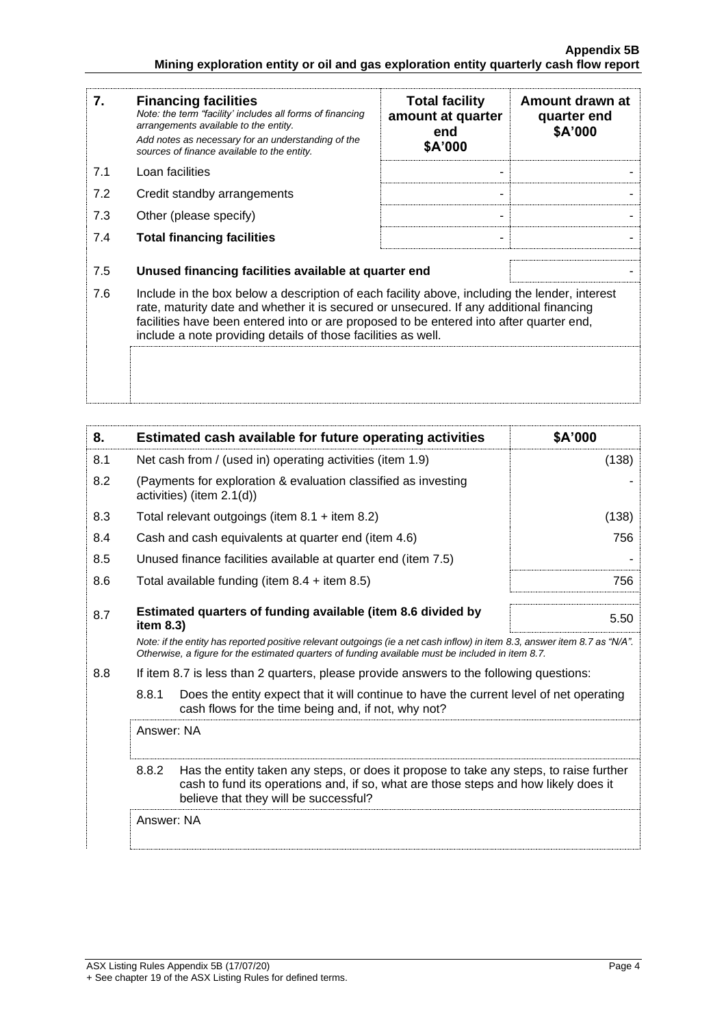| 7.  | <b>Financing facilities</b><br>Note: the term "facility' includes all forms of financing<br>arrangements available to the entity.<br>Add notes as necessary for an understanding of the<br>sources of finance available to the entity.                                                                                                               | <b>Total facility</b><br>amount at quarter<br>end<br>\$A'000 | Amount drawn at<br>quarter end<br>\$A'000 |
|-----|------------------------------------------------------------------------------------------------------------------------------------------------------------------------------------------------------------------------------------------------------------------------------------------------------------------------------------------------------|--------------------------------------------------------------|-------------------------------------------|
| 7.1 | Loan facilities                                                                                                                                                                                                                                                                                                                                      |                                                              |                                           |
| 7.2 | Credit standby arrangements                                                                                                                                                                                                                                                                                                                          |                                                              |                                           |
| 7.3 | Other (please specify)                                                                                                                                                                                                                                                                                                                               |                                                              |                                           |
| 7.4 | <b>Total financing facilities</b>                                                                                                                                                                                                                                                                                                                    |                                                              |                                           |
| 7.5 | Unused financing facilities available at quarter end                                                                                                                                                                                                                                                                                                 |                                                              |                                           |
| 7.6 | Include in the box below a description of each facility above, including the lender, interest<br>rate, maturity date and whether it is secured or unsecured. If any additional financing<br>facilities have been entered into or are proposed to be entered into after quarter end,<br>include a note providing details of those facilities as well. |                                                              |                                           |
|     |                                                                                                                                                                                                                                                                                                                                                      |                                                              |                                           |

| 8.  | Estimated cash available for future operating activities                                                                                                                                                                        | \$A'000 |
|-----|---------------------------------------------------------------------------------------------------------------------------------------------------------------------------------------------------------------------------------|---------|
| 8.1 | Net cash from / (used in) operating activities (item 1.9)                                                                                                                                                                       | (138)   |
| 8.2 | (Payments for exploration & evaluation classified as investing<br>activities) (item 2.1(d))                                                                                                                                     |         |
| 8.3 | Total relevant outgoings (item $8.1 +$ item $8.2$ )                                                                                                                                                                             | (138)   |
| 8.4 | Cash and cash equivalents at quarter end (item 4.6)                                                                                                                                                                             | 756     |
| 8.5 | Unused finance facilities available at quarter end (item 7.5)                                                                                                                                                                   |         |
| 8.6 | Total available funding (item $8.4$ + item $8.5$ )                                                                                                                                                                              | 756     |
| 8.7 | Estimated quarters of funding available (item 8.6 divided by<br>item $8.3$ )                                                                                                                                                    | 5.50    |
|     | Note: if the entity has reported positive relevant outgoings (ie a net cash inflow) in item 8.3, answer item 8.7 as "N/A".<br>Otherwise, a figure for the estimated quarters of funding available must be included in item 8.7. |         |
| 8.8 | If item 8.7 is less than 2 quarters, please provide answers to the following questions:                                                                                                                                         |         |
|     | 8.8.1<br>Does the entity expect that it will continue to have the current level of net operating<br>cash flows for the time being and, if not, why not?                                                                         |         |
|     | Answer: NA                                                                                                                                                                                                                      |         |
|     | 8.8.2<br>Has the entity taken any steps, or does it propose to take any steps, to raise further<br>cash to fund its operations and, if so, what are those steps and how likely does it<br>believe that they will be successful? |         |
|     | Answer: NA                                                                                                                                                                                                                      |         |
|     |                                                                                                                                                                                                                                 |         |